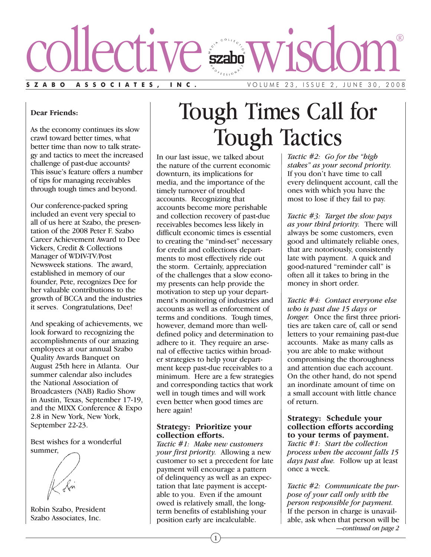

#### **Dear Friends:**

As the economy continues its slow crawl toward better times, what better time than now to talk strategy and tactics to meet the increased challenge of past-due accounts? This issue's feature offers a number of tips for managing receivables through tough times and beyond.

Our conference-packed spring included an event very special to all of us here at Szabo, the presentation of the 2008 Peter F. Szabo Career Achievement Award to Dee Vickers, Credit & Collections Manager of WDIV-TV/Post Newsweek stations. The award, established in memory of our founder, Pete, recognizes Dee for her valuable contributions to the growth of BCCA and the industries it serves. Congratulations, Dee!

And speaking of achievements, we look forward to recognizing the accomplishments of our amazing employees at our annual Szabo Quality Awards Banquet on August 25th here in Atlanta. Our summer calendar also includes the National Association of Broadcasters (NAB) Radio Show in Austin, Texas, September 17-19, and the MIXX Conference & Expo 2.8 in New York, New York, September 22-23.

Best wishes for a wonderful summer,

Robin Szabo, President Szabo Associates, Inc.

# Tough Times Call for Tough Tactics

In our last issue, we talked about the nature of the current economic downturn, its implications for media, and the importance of the timely turnover of troubled accounts. Recognizing that accounts become more perishable and collection recovery of past-due receivables becomes less likely in difficult economic times is essential to creating the "mind-set" necessary for credit and collections departments to most effectively ride out the storm. Certainly, appreciation of the challenges that a slow economy presents can help provide the motivation to step up your department's monitoring of industries and accounts as well as enforcement of terms and conditions. Tough times, however, demand more than welldefined policy and determination to adhere to it. They require an arsenal of effective tactics within broader strategies to help your department keep past-due receivables to a minimum. Here are a few strategies and corresponding tactics that work well in tough times and will work even better when good times are here again!

#### **Strategy: Prioritize your collection efforts.**

*Tactic #1: Make new customers your first priority.* Allowing a new customer to set a precedent for late payment will encourage a pattern of delinquency as well as an expectation that late payment is acceptable to you. Even if the amount owed is relatively small, the longterm benefits of establishing your position early are incalculable.

*Tactic #2: Go for the "high stakes" as your second priority.* If you don't have time to call every delinquent account, call the ones with which you have the most to lose if they fail to pay.

*Tactic #3: Target the slow pays as your third priority.* There will always be some customers, even good and ultimately reliable ones, that are notoriously, consistently late with payment. A quick and good-natured "reminder call" is often all it takes to bring in the money in short order.

*Tactic #4: Contact everyone else who is past due 15 days or longer.* Once the first three priorities are taken care of, call or send letters to your remaining past-due accounts. Make as many calls as you are able to make without compromising the thoroughness and attention due each account. On the other hand, do not spend an inordinate amount of time on a small account with little chance of return.

#### **Strategy: Schedule your collection efforts according to your terms of payment.**

*Tactic #1: Start the collection process when the account falls 15 days past due.* Follow up at least once a week.

*Tactic #2: Communicate the purpose of your call only with the person responsible for payment.* If the person in charge is unavailable, ask when that person will be *—continued on page 2*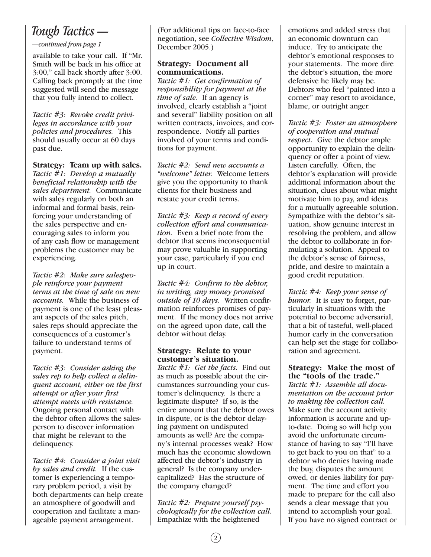# *Tough Tactics —*

#### *—continued from page 1*

available to take your call. If "Mr. Smith will be back in his office at 3:00," call back shortly after 3:00. Calling back promptly at the time suggested will send the message that you fully intend to collect.

*Tactic #3: Revoke credit privileges in accordance with your policies and procedures.* This should usually occur at 60 days past due.

#### **Strategy: Team up with sales.**

*Tactic #1: Develop a mutually beneficial relationship with the sales department.* Communicate with sales regularly on both an informal and formal basis, reinforcing your understanding of the sales perspective and encouraging sales to inform you of any cash flow or management problems the customer may be experiencing.

*Tactic #2: Make sure salespeople reinforce your payment terms at the time of sale on new accounts.* While the business of payment is one of the least pleasant aspects of the sales pitch, sales reps should appreciate the consequences of a customer's failure to understand terms of payment.

*Tactic #3: Consider asking the sales rep to help collect a delinquent account, either on the first attempt or after your first attempt meets with resistance.* Ongoing personal contact with the debtor often allows the salesperson to discover information that might be relevant to the delinquency.

*Tactic #4: Consider a joint visit by sales and credit.* If the customer is experiencing a temporary problem period, a visit by both departments can help create an atmosphere of goodwill and cooperation and facilitate a manageable payment arrangement.

(For additional tips on face-to-face negotiation, see *Collective Wisdom*, December 2005.)

### **Strategy: Document all communications.**

*Tactic #1: Get confirmation of responsibility for payment at the time of sale.* If an agency is involved, clearly establish a "joint and several" liability position on all written contracts, invoices, and correspondence. Notify all parties involved of your terms and conditions for payment.

*Tactic #2: Send new accounts a "welcome" letter.* Welcome letters give you the opportunity to thank clients for their business and restate your credit terms.

*Tactic #3: Keep a record of every collection effort and communication.* Even a brief note from the debtor that seems inconsequential may prove valuable in supporting your case, particularly if you end up in court.

*Tactic #4: Confirm to the debtor, in writing, any money promised outside of 10 days.* Written confirmation reinforces promises of payment. If the money does not arrive on the agreed upon date, call the debtor without delay.

#### **Strategy: Relate to your customer's situation.**

*Tactic #1: Get the facts.* Find out as much as possible about the circumstances surrounding your customer's delinquency. Is there a legitimate dispute? If so, is the entire amount that the debtor owes in dispute, or is the debtor delaying payment on undisputed amounts as well? Are the company's internal processes weak? How much has the economic slowdown affected the debtor's industry in general? Is the company undercapitalized? Has the structure of the company changed?

*Tactic #2: Prepare yourself psychologically for the collection call.* Empathize with the heightened

emotions and added stress that an economic downturn can induce. Try to anticipate the debtor's emotional responses to your statements. The more dire the debtor's situation, the more defensive he likely may be. Debtors who feel "painted into a corner" may resort to avoidance, blame, or outright anger.

*Tactic #3: Foster an atmosphere of cooperation and mutual respect.* Give the debtor ample opportunity to explain the delinquency or offer a point of view. Listen carefully. Often, the debtor's explanation will provide additional information about the situation, clues about what might motivate him to pay, and ideas for a mutually agreeable solution. Sympathize with the debtor's situation, show genuine interest in resolving the problem, and allow the debtor to collaborate in formulating a solution. Appeal to the debtor's sense of fairness, pride, and desire to maintain a good credit reputation.

*Tactic #4: Keep your sense of humor.* It is easy to forget, particularly in situations with the potential to become adversarial, that a bit of tasteful, well-placed humor early in the conversation can help set the stage for collaboration and agreement.

**Strategy: Make the most of the "tools of the trade."** *Tactic #1: Assemble all documentation on the account prior to making the collection call.* Make sure the account activity information is accurate and upto-date. Doing so will help you avoid the unfortunate circumstance of having to say "I'll have to get back to you on that" to a debtor who denies having made the buy, disputes the amount owed, or denies liability for payment. The time and effort you made to prepare for the call also sends a clear message that you intend to accomplish your goal. If you have no signed contract or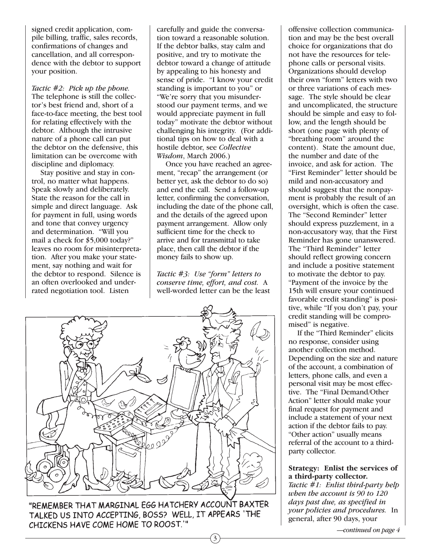signed credit application, compile billing, traffic, sales records, confirmations of changes and cancellation, and all correspondence with the debtor to support your position.

*Tactic #2: Pick up the phone.* The telephone is still the collector's best friend and, short of a face-to-face meeting, the best tool for relating effectively with the debtor. Although the intrusive nature of a phone call can put the debtor on the defensive, this limitation can be overcome with discipline and diplomacy.

Stay positive and stay in control, no matter what happens. Speak slowly and deliberately. State the reason for the call in simple and direct language. Ask for payment in full, using words and tone that convey urgency and determination. "Will you mail a check for \$5,000 today?" leaves no room for misinterpretation. After you make your statement, say nothing and wait for the debtor to respond. Silence is an often overlooked and underrated negotiation tool. Listen

carefully and guide the conversation toward a reasonable solution. If the debtor balks, stay calm and positive, and try to motivate the debtor toward a change of attitude by appealing to his honesty and sense of pride. "I know your credit standing is important to you" or "We're sorry that you misunderstood our payment terms, and we would appreciate payment in full today" motivate the debtor without challenging his integrity. (For additional tips on how to deal with a hostile debtor, see *Collective Wisdom*, March 2006.)

Once you have reached an agreement, "recap" the arrangement (or better yet, ask the debtor to do so) and end the call. Send a follow-up letter, confirming the conversation, including the date of the phone call, and the details of the agreed upon payment arrangement. Allow only sufficient time for the check to arrive and for transmittal to take place, then call the debtor if the money fails to show up.

*Tactic #3: Use "form" letters to conserve time, effort, and cost.* A well-worded letter can be the least

3



"REMEMBER THAT MARGINAL EGG HATCHERY ACCOUNT BAXTER TALKED US INTO ACCEPTING, BOSS? WELL, IT APPEARS 'THE CHICKENS HAVE COME HOME TO ROOST.'"

offensive collection communication and may be the best overall choice for organizations that do not have the resources for telephone calls or personal visits. Organizations should develop their own "form" letters with two or three variations of each message. The style should be clear and uncomplicated, the structure should be simple and easy to follow, and the length should be short (one page with plenty of "breathing room" around the content). State the amount due, the number and date of the invoice, and ask for action. The "First Reminder" letter should be mild and non-accusatory and should suggest that the nonpayment is probably the result of an oversight, which is often the case. The "Second Reminder" letter should express puzzlement, in a non-accusatory way, that the First Reminder has gone unanswered. The "Third Reminder" letter should reflect growing concern and include a positive statement to motivate the debtor to pay. "Payment of the invoice by the 15th will ensure your continued favorable credit standing" is positive, while "If you don't pay, your credit standing will be compromised" is negative.

If the "Third Reminder" elicits no response, consider using another collection method. Depending on the size and nature of the account, a combination of letters, phone calls, and even a personal visit may be most effective. The "Final Demand/Other Action" letter should make your final request for payment and include a statement of your next action if the debtor fails to pay. "Other action" usually means referral of the account to a thirdparty collector.

#### **Strategy: Enlist the services of a third-party collector.**

*Tactic #1: Enlist third-party help when the account is 90 to 120 days past due, as specified in your policies and procedures.* In general, after 90 days, your